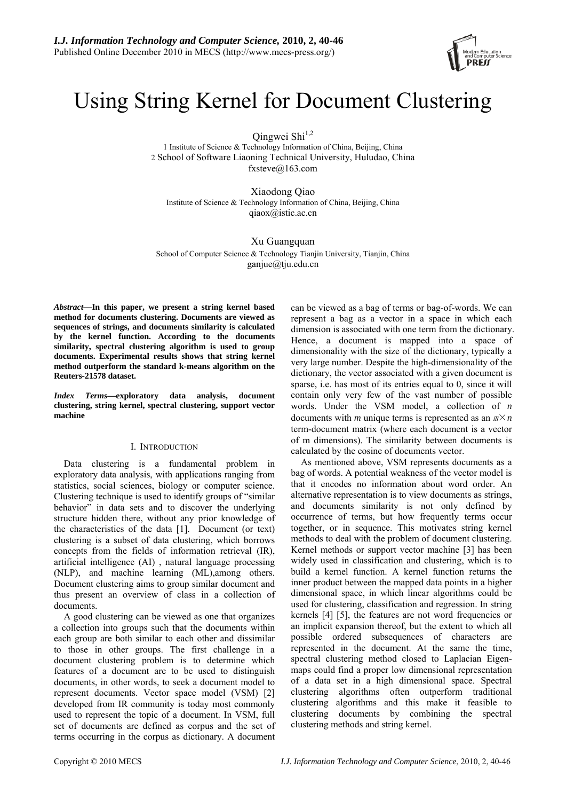

# Using String Kernel for Document Clustering

Qingwei Shi<sup>1,2</sup>

1 Institute of Science & Technology Information of China, Beijing, China 2 School of Software Liaoning Technical University, Huludao, China fxsteve@163.com

Xiaodong Qiao Institute of Science & Technology Information of China, Beijing, China qiaox@istic.ac.cn

Xu Guangquan School of Computer Science & Technology Tianjin University, Tianjin, China ganjue@tju.edu.cn

*Abstract***—In this paper, we present a string kernel based method for documents clustering. Documents are viewed as sequences of strings, and documents similarity is calculated by the kernel function. According to the documents similarity, spectral clustering algorithm is used to group documents. Experimental results shows that string kernel method outperform the standard k-means algorithm on the Reuters-21578 dataset.** 

*Index Terms***—exploratory data analysis, document clustering, string kernel, spectral clustering, support vector machine** 

# I. INTRODUCTION

Data clustering is a fundamental problem in exploratory data analysis, with applications ranging from statistics, social sciences, biology or computer science. Clustering technique is used to identify groups of "similar behavior" in data sets and to discover the underlying structure hidden there, without any prior knowledge of the characteristics of the data [1]. Document (or text) clustering is a subset of data clustering, which borrows concepts from the fields of information retrieval (IR), artificial intelligence (AI) , natural language processing (NLP), and machine learning (ML),among others. Document clustering aims to group similar document and thus present an overview of class in a collection of documents.

A good clustering can be viewed as one that organizes a collection into groups such that the documents within each group are both similar to each other and dissimilar to those in other groups. The first challenge in a document clustering problem is to determine which features of a document are to be used to distinguish documents, in other words, to seek a document model to represent documents. Vector space model (VSM) [2] developed from IR community is today most commonly used to represent the topic of a document. In VSM, full set of documents are defined as corpus and the set of terms occurring in the corpus as dictionary. A document can be viewed as a bag of terms or bag-of-words. We can represent a bag as a vector in a space in which each dimension is associated with one term from the dictionary. Hence, a document is mapped into a space of dimensionality with the size of the dictionary, typically a very large number. Despite the high-dimensionality of the dictionary, the vector associated with a given document is sparse, i.e. has most of its entries equal to 0, since it will contain only very few of the vast number of possible words. Under the VSM model, a collection of *n* documents with *m* unique terms is represented as an  $m \times n$ term-document matrix (where each document is a vector of m dimensions). The similarity between documents is calculated by the cosine of documents vector.

As mentioned above, VSM represents documents as a bag of words. A potential weakness of the vector model is that it encodes no information about word order. An alternative representation is to view documents as strings, and documents similarity is not only defined by occurrence of terms, but how frequently terms occur together, or in sequence. This motivates string kernel methods to deal with the problem of document clustering. Kernel methods or support vector machine [3] has been widely used in classification and clustering, which is to build a kernel function. A kernel function returns the inner product between the mapped data points in a higher dimensional space, in which linear algorithms could be used for clustering, classification and regression. In string kernels [4] [5], the features are not word frequencies or an implicit expansion thereof, but the extent to which all possible ordered subsequences of characters are represented in the document. At the same the time, spectral clustering method closed to Laplacian Eigenmaps could find a proper low dimensional representation of a data set in a high dimensional space. Spectral clustering algorithms often outperform traditional clustering algorithms and this make it feasible to clustering documents by combining the spectral clustering methods and string kernel.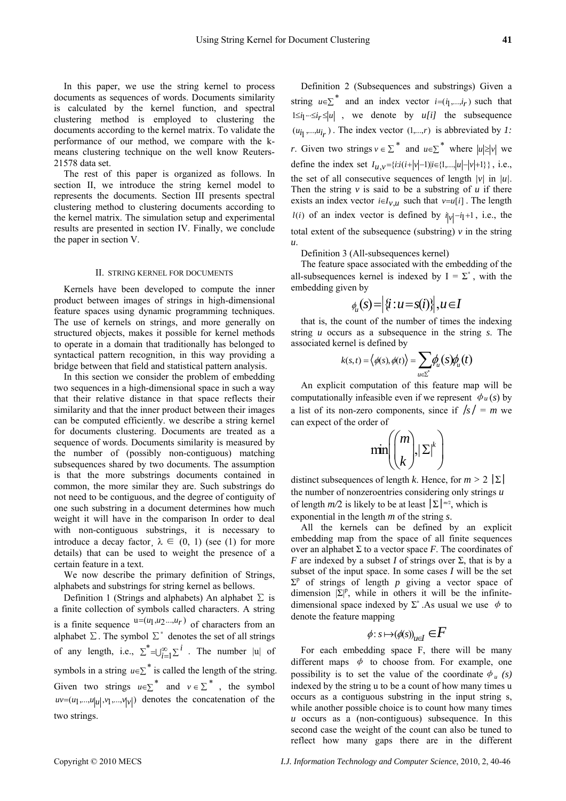In this paper, we use the string kernel to process documents as sequences of words. Documents similarity is calculated by the kernel function, and spectral clustering method is employed to clustering the documents according to the kernel matrix. To validate the performance of our method, we compare with the kmeans clustering technique on the well know Reuters-21578 data set.

The rest of this paper is organized as follows. In section II, we introduce the string kernel model to represents the documents. Section III presents spectral clustering method to clustering documents according to the kernel matrix. The simulation setup and experimental results are presented in section IV. Finally, we conclude the paper in section V.

## II. STRING KERNEL FOR DOCUMENTS

Kernels have been developed to compute the inner product between images of strings in high-dimensional feature spaces using dynamic programming techniques. The use of kernels on strings, and more generally on structured objects, makes it possible for kernel methods to operate in a domain that traditionally has belonged to syntactical pattern recognition, in this way providing a bridge between that field and statistical pattern analysis.

In this section we consider the problem of embedding two sequences in a high-dimensional space in such a way that their relative distance in that space reflects their similarity and that the inner product between their images can be computed efficiently. we describe a string kernel for documents clustering. Documents are treated as a sequence of words. Documents similarity is measured by the number of (possibly non-contiguous) matching subsequences shared by two documents. The assumption is that the more substrings documents contained in common, the more similar they are. Such substrings do not need to be contiguous, and the degree of contiguity of one such substring in a document determines how much weight it will have in the comparison In order to deal with non-contiguous substrings, it is necessary to introduce a decay factor  $\lambda \in (0, 1)$  (see (1) for more details) that can be used to weight the presence of a certain feature in a text.

We now describe the primary definition of Strings, alphabets and substrings for string kernel as bellows.

Definition 1 (Strings and alphabets) An alphabet  $\Sigma$  is a finite collection of symbols called characters. A string is a finite sequence  $u = (u_1, u_2, \ldots, u_r)$  of characters from an alphabet  $\Sigma$ . The symbol  $\Sigma^*$  denotes the set of all strings of any length, i.e.,  $\sum_{i=1}^{k} \sum_{j=1}^{i} \sum_{i=1}^{i}$  . The number |u| of symbols in a string  $u \in \Sigma^*$  is called the length of the string. Given two strings  $u \in \Sigma^*$  and  $v \in \Sigma^*$ , the symbol  $uv=(u_1,...,u_{|u|}, v_1,...,v_{|v|})$  denotes the concatenation of the two strings.

Definition 2 (Subsequences and substrings) Given a string  $u \in \Sigma^*$  and an index vector  $i = (i_1, ..., i_r)$  such that  $1 \leq i_1 \leq i_r \leq |u|$ , we denote by *u[i]* the subsequence  $(u_{i_1},...,u_{i_r})$ . The index vector  $(1,...,r)$  is abbreviated by *1*: *r*. Given two strings  $v \in \Sigma^*$  and  $u \in \Sigma^*$  where  $|u| \ge |v|$  we define the index set  $I_{u,v} = {i : i(i+|v|-1)|i \in \{1,...,|u|-|v|+1\}}$ , i.e., the set of all consecutive sequences of length *|v|* in *|u|*. Then the string  $\nu$  is said to be a substring of  $\mu$  if there exists an index vector  $i \in I_{v,u}$  such that  $v=u[i]$ . The length *l(i)* of an index vector is defined by  $i_{|v|} - i_1 + 1$ , i.e., the total extent of the subsequence (substring)  $v$  in the string *u*.

Definition 3 (All-subsequences kernel)

The feature space associated with the embedding of the all-subsequences kernel is indexed by  $I = \Sigma^*$ , with the embedding given by

$$
\phi_u(s) = \left|\{i : u = s(i)\}\right|, u \in I
$$

that is, the count of the number of times the indexing string *u* occurs as a subsequence in the string *s*. The associated kernel is defined by

$$
k(s,t) = \langle \phi(s), \phi(t) \rangle = \sum_{u \in \Sigma} \phi_u(s) \phi_u(t)
$$

An explicit computation of this feature map will be computationally infeasible even if we represent  $\phi_u(s)$  by a list of its non-zero components, since if  $/s = m$  we can expect of the order of

$$
\min\!\!\left(\!\binom{m}{k}\!,\!|\Sigma|^k\right)
$$

distinct subsequences of length *k*. Hence, for  $m > 2 |\Sigma|$ the number of nonzeroentries considering only strings *u*  of length  $m/2$  is likely to be at least  $\sum \lfloor m^2 \rfloor$ , which is exponential in the length *m* of the string *s*.

All the kernels can be defined by an explicit embedding map from the space of all finite sequences over an alphabet  $\Sigma$  to a vector space *F*. The coordinates of *F* are indexed by a subset *I* of strings over  $\Sigma$ , that is by a subset of the input space. In some cases *I* will be the set  $\Sigma^p$  of strings of length *p* giving a vector space of dimension  $|\Sigma|^p$ , while in others it will be the infinitedimensional space indexed by  $\Sigma^*$ . As usual we use  $\phi$  to denote the feature mapping

$$
\phi\colon s\,{\mapsto}\, (\phi(s))_{u\in I} \in F
$$

For each embedding space F, there will be many different maps  $\phi$  to choose from. For example, one possibility is to set the value of the coordinate  $\phi$ <sup>*u*</sup> (s) indexed by the string u to be a count of how many times u occurs as a contiguous substring in the input string s, while another possible choice is to count how many times *u* occurs as a (non-contiguous) subsequence. In this second case the weight of the count can also be tuned to reflect how many gaps there are in the different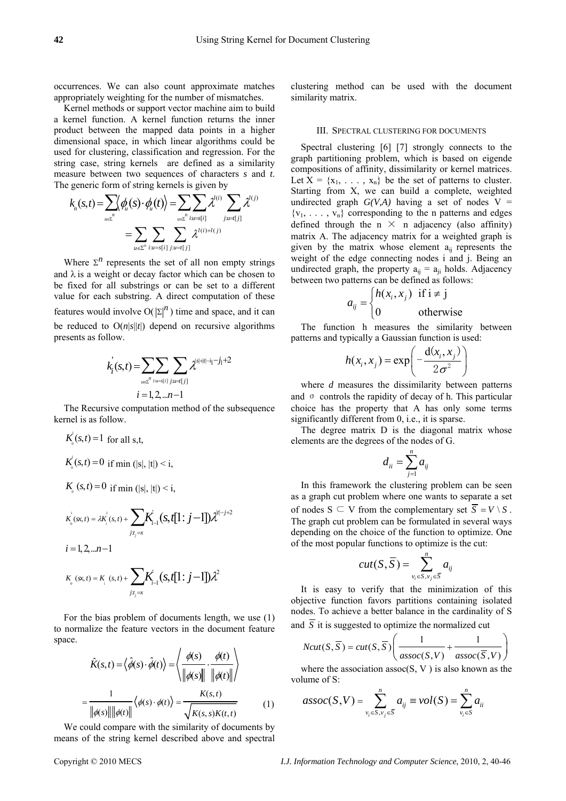occurrences. We can also count approximate matches appropriately weighting for the number of mismatches.

Kernel methods or support vector machine aim to build a kernel function. A kernel function returns the inner product between the mapped data points in a higher dimensional space, in which linear algorithms could be used for clustering, classification and regression. For the string case, string kernels are defined as a similarity measure between two sequences of characters *s* and *t*. The generic form of string kernels is given by

$$
k_n(s,t) = \sum_{u \in \mathcal{L}} \langle \phi_u(s) \cdot \phi_u(t) \rangle = \sum_{u \in \mathcal{L}} \sum_{i: u \in s[i]} \chi^{l(i)} \sum_{j: u \in l(j)} \chi^{l(j)}
$$

$$
= \sum_{u \in \mathcal{L}} \sum_{i: u \in s[i]} \sum_{j: u \in l(j)} \chi^{l(i) + l(j)}
$$

Where  $\Sigma<sup>n</sup>$  represents the set of all non empty strings and  $\lambda$  is a weight or decay factor which can be chosen to be fixed for all substrings or can be set to a different value for each substring. A direct computation of these features would involve  $O(|\Sigma|^n)$  time and space, and it can be reduced to  $O(n|s||t|)$  depend on recursive algorithms presents as follow.

$$
k_i(s,t) = \sum_{u \in \mathcal{I}^n} \sum_{i: u \in \{i\}} \sum_{j: u \in \{j\}} \lambda^{|s|+|t|-i_1-j_1+2}
$$
  

$$
i = 1, 2, ... n-1
$$

The Recursive computation method of the subsequence kernel is as follow.

$$
K_{0}^{j}(s,t) = 1 \text{ for all } s,t,
$$
  
\n
$$
K_{0}^{j}(s,t) = 0 \text{ if } \min(|s|, |t|) < i,
$$
  
\n
$$
K_{0}^{j}(s,t) = 0 \text{ if } \min(|s|, |t|) < i,
$$
  
\n
$$
K_{0}^{j}(s,t) = \lambda K_{j}^{j}(s,t) + \sum_{j:t_{j}=x} K_{j-1}^{j}(s,t[1:j-1])\lambda^{[t-j+2]}
$$
  
\n
$$
i = 1,2,...n-1
$$

$$
K_{0}(sx,t) = K_{i}(s,t) + \sum_{j:t_{j}=x} \mathbf{K}_{i-1}^{j}(s,t[1:j-1])\lambda^{2}
$$

For the bias problem of documents length, we use (1) to normalize the feature vectors in the document feature space.

$$
\hat{K}(s,t) = \langle \hat{\phi}(s) \cdot \hat{\phi}(t) \rangle = \left\langle \frac{\phi(s)}{\|\phi(s)\|} \cdot \frac{\phi(t)}{\|\phi(t)\|} \right\rangle
$$

$$
= \frac{1}{\|\phi(s)\| \|\phi(t)\|} \langle \phi(s) \cdot \phi(t) \rangle = \frac{K(s,t)}{\sqrt{K(s,s)K(t,t)}} \tag{1}
$$

We could compare with the similarity of documents by means of the string kernel described above and spectral clustering method can be used with the document similarity matrix.

## III. SPECTRAL CLUSTERING FOR DOCUMENTS

Spectral clustering [6] [7] strongly connects to the graph partitioning problem, which is based on eigende compositions of affinity, dissimilarity or kernel matrices. Let  $X = \{x_1, \ldots, x_n\}$  be the set of patterns to cluster. Starting from X, we can build a complete, weighted undirected graph  $G(V,A)$  having a set of nodes  $V =$  ${v_1, \ldots, v_n}$  corresponding to the n patterns and edges defined through the n  $\times$  n adjacency (also affinity) matrix A. The adjacency matrix for a weighted graph is given by the matrix whose element  $a_{ii}$  represents the weight of the edge connecting nodes i and j. Being an undirected graph, the property  $a_{ii} = a_{ii}$  holds. Adjacency between two patterns can be defined as follows:

$$
a_{ij} = \begin{cases} h(x_i, x_j) & \text{if } i \neq j \\ 0 & \text{otherwise} \end{cases}
$$

The function h measures the similarity between patterns and typically a Gaussian function is used:

$$
h(x_i, x_j) = \exp\left(-\frac{d(x_i, x_j)}{2\sigma^2}\right)
$$

where *d* measures the dissimilarity between patterns and σ controls the rapidity of decay of h. This particular choice has the property that A has only some terms significantly different from 0, i.e., it is sparse.

The degree matrix D is the diagonal matrix whose elements are the degrees of the nodes of G.

$$
d_{ii} = \sum_{j=1}^n a_{ij}
$$

In this framework the clustering problem can be seen as a graph cut problem where one wants to separate a set of nodes  $S \subseteq V$  from the complementary set  $\overline{S} = V \setminus S$ . The graph cut problem can be formulated in several ways depending on the choice of the function to optimize. One of the most popular functions to optimize is the cut:

$$
cut(S,\overline{S}) = \sum_{v_i \in S, v_j \in \overline{S}}^n a_{ij}
$$

It is easy to verify that the minimization of this objective function favors partitions containing isolated nodes. To achieve a better balance in the cardinality of S and  $\overline{S}$  it is suggested to optimize the normalized cut

$$
Ncut(S, \overline{S}) = cut(S, \overline{S}) \left( \frac{1}{assoc(S, V)} + \frac{1}{assoc(\overline{S}, V)} \right)
$$

where the association assoc $(S, V)$  is also known as the volume of S<sup>-</sup>

$$
assoc(S, V) = \sum_{v_i \in S, v_j \in \overline{S}}^{n} a_{ij} \equiv vol(S) = \sum_{v_i \in S}^{n} a_{ii}
$$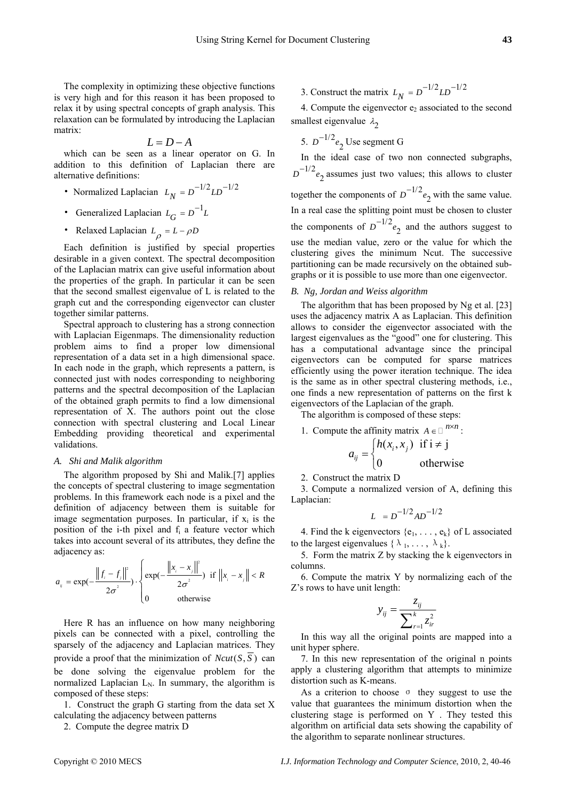The complexity in optimizing these objective functions is very high and for this reason it has been proposed to relax it by using spectral concepts of graph analysis. This relaxation can be formulated by introducing the Laplacian matrix:

$$
L = D - A
$$

which can be seen as a linear operator on G. In addition to this definition of Laplacian there are alternative definitions:

- Normalized Laplacian  $L_N = D^{-1/2} L D^{-1/2}$
- Generalized Laplacian  $L_G = D^{-1}L$
- Relaxed Laplacian  $L_{\rho} = L \rho D$

Each definition is justified by special properties desirable in a given context. The spectral decomposition of the Laplacian matrix can give useful information about the properties of the graph. In particular it can be seen that the second smallest eigenvalue of L is related to the graph cut and the corresponding eigenvector can cluster together similar patterns.

Spectral approach to clustering has a strong connection with Laplacian Eigenmaps. The dimensionality reduction problem aims to find a proper low dimensional representation of a data set in a high dimensional space. In each node in the graph, which represents a pattern, is connected just with nodes corresponding to neighboring patterns and the spectral decomposition of the Laplacian of the obtained graph permits to find a low dimensional representation of X. The authors point out the close connection with spectral clustering and Local Linear Embedding providing theoretical and experimental validations.

# *A. Shi and Malik algorithm*

The algorithm proposed by Shi and Malik.[7] applies the concepts of spectral clustering to image segmentation problems. In this framework each node is a pixel and the definition of adjacency between them is suitable for image segmentation purposes. In particular, if  $x_i$  is the position of the i-th pixel and  $f_i$  a feature vector which takes into account several of its attributes, they define the adjacency as: 2

$$
a_{ij} = \exp(-\frac{\left\|f_i - f_j\right\|^2}{2\sigma^2}) \cdot \begin{cases} \exp(-\frac{\left\|x_i - x_j\right\|^2}{2\sigma^2}) & \text{if } \left\|x_i - x_j\right\| < R\\ 0 & \text{otherwise} \end{cases}
$$

Here R has an influence on how many neighboring pixels can be connected with a pixel, controlling the sparsely of the adjacency and Laplacian matrices. They provide a proof that the minimization of  $Ncut(S, \overline{S})$  can be done solving the eigenvalue problem for the normalized Laplacian  $L_N$ . In summary, the algorithm is composed of these steps:

1. Construct the graph G starting from the data set X calculating the adjacency between patterns

2. Compute the degree matrix D

3. Construct the matrix  $L_N = D^{-1/2} L D^{-1/2}$ 

4. Compute the eigenvector  $e_2$  associated to the second smallest eigenvalue  $\lambda_2$ 

5. 
$$
D^{-1/2}e_2
$$
 Use segment G

In the ideal case of two non connected subgraphs,  $D^{-1/2}$  *e*<sub>2</sub> assumes just two values; this allows to cluster together the components of  $D^{-1/2}e_2$  with the same value. In a real case the splitting point must be chosen to cluster the components of  $D^{-1/2}e_2$  and the authors suggest to use the median value, zero or the value for which the clustering gives the minimum Ncut. The successive partitioning can be made recursively on the obtained subgraphs or it is possible to use more than one eigenvector.

## *B. Ng, Jordan and Weiss algorithm*

The algorithm that has been proposed by Ng et al. [23] uses the adjacency matrix A as Laplacian. This definition allows to consider the eigenvector associated with the largest eigenvalues as the "good" one for clustering. This has a computational advantage since the principal eigenvectors can be computed for sparse matrices efficiently using the power iteration technique. The idea is the same as in other spectral clustering methods, i.e., one finds a new representation of patterns on the first k eigenvectors of the Laplacian of the graph.

The algorithm is composed of these steps:

1. Compute the affinity matrix  $A \in \mathbb{R}^{n \times n}$ :

$$
a_{ij} = \begin{cases} h(x_i, x_j) & \text{if } i \neq j \\ 0 & \text{otherwise} \end{cases}
$$

2. Construct the matrix D

3. Compute a normalized version of A, defining this Laplacian:

$$
L = D^{-1/2}AD^{-1/2}
$$

4. Find the k eigenvectors  $\{e_1, \ldots, e_k\}$  of L associated to the largest eigenvalues  $\{\lambda_1, \ldots, \lambda_k\}.$ 

5. Form the matrix Z by stacking the k eigenvectors in columns.

6. Compute the matrix Y by normalizing each of the Z's rows to have unit length:

$$
y_{ij} = \frac{z_{ij}}{\sum_{r=1}^{k} z_{ir}^2}
$$

In this way all the original points are mapped into a unit hyper sphere.

7. In this new representation of the original n points apply a clustering algorithm that attempts to minimize distortion such as K-means.

As a criterion to choose σ they suggest to use the value that guarantees the minimum distortion when the clustering stage is performed on Y . They tested this algorithm on artificial data sets showing the capability of the algorithm to separate nonlinear structures.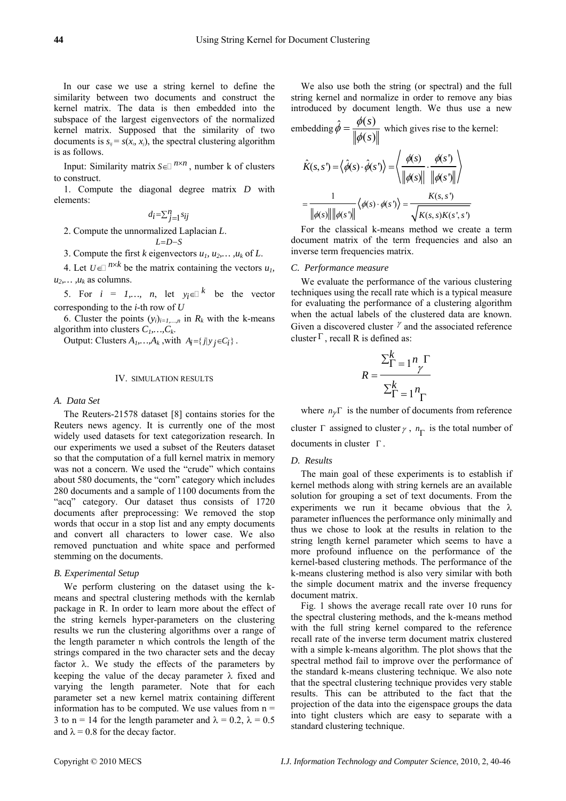In our case we use a string kernel to define the similarity between two documents and construct the kernel matrix. The data is then embedded into the subspace of the largest eigenvectors of the normalized kernel matrix. Supposed that the similarity of two documents is  $s_{ii} = s(x_i, x_j)$ , the spectral clustering algorithm is as follows.

Input: Similarity matrix  $S \in \mathbb{R}^{n \times n}$ , number k of clusters to construct.

1. Compute the diagonal degree matrix *D* with elements:

 $d_i = \sum_{j=1}^n s_{ij}$ 

2. Compute the unnormalized Laplacian *L*. *L*=D-S

3. Compute the first *k* eigenvectors  $u_1, u_2, \ldots, u_k$  of *L*.

4. Let  $U \in \mathbb{R}^{n \times k}$  be the matrix containing the vectors  $u_1$ ,  $u_2, \ldots, u_k$  as columns.

5. For  $i = 1,..., n$ , let  $y_i \in \mathbb{R}^k$  be the vector corresponding to the *i*-th row of *U*

6. Cluster the points  $(y_i)_{i=1,\dots,n}$  in  $R_k$  with the k-means algorithm into clusters  $C_1, \ldots, C_k$ .

Output: Clusters  $A_1, \ldots, A_k$ , with  $A_i = \{j | y_j \in C_i\}$ .

# IV. SIMULATION RESULTS

# *A. Data Set*

The Reuters-21578 dataset [8] contains stories for the Reuters news agency. It is currently one of the most widely used datasets for text categorization research. In our experiments we used a subset of the Reuters dataset so that the computation of a full kernel matrix in memory was not a concern. We used the "crude" which contains about 580 documents, the "corn" category which includes 280 documents and a sample of 1100 documents from the "acq" category. Our dataset thus consists of 1720 documents after preprocessing: We removed the stop words that occur in a stop list and any empty documents and convert all characters to lower case. We also removed punctuation and white space and performed stemming on the documents.

### *B. Experimental Setup*

We perform clustering on the dataset using the kmeans and spectral clustering methods with the kernlab package in R. In order to learn more about the effect of the string kernels hyper-parameters on the clustering results we run the clustering algorithms over a range of the length parameter n which controls the length of the strings compared in the two character sets and the decay factor  $\lambda$ . We study the effects of the parameters by keeping the value of the decay parameter  $\lambda$  fixed and varying the length parameter. Note that for each parameter set a new kernel matrix containing different information has to be computed. We use values from  $n =$ 3 to n = 14 for the length parameter and  $\lambda = 0.2$ ,  $\lambda = 0.5$ and  $\lambda = 0.8$  for the decay factor.

We also use both the string (or spectral) and the full string kernel and normalize in order to remove any bias introduced by document length. We thus use a new

embedding  $\hat{\phi} = \frac{\phi(s)}{s}$  $\left( s\right)$ *s*  $\hat{\phi} = \frac{\phi(s)}{\|\phi(s)\|}$  which gives rise to the kernel:

$$
\hat{K}(s,s') = \langle \hat{\phi}(s) \cdot \hat{\phi}(s') \rangle = \left\langle \frac{\phi(s)}{\|\phi(s)\|} \cdot \frac{\phi(s')}{\|\phi(s')\|} \right\rangle
$$

$$
= \frac{1}{\|\phi(s)\| \|\phi(s')\|} \langle \phi(s) \cdot \phi(s') \rangle = \frac{K(s,s')}{\sqrt{K(s,s)K(s',s')}}
$$

For the classical k-means method we create a term document matrix of the term frequencies and also an inverse term frequencies matrix.

## *C. Performance measure*

We evaluate the performance of the various clustering techniques using the recall rate which is a typical measure for evaluating the performance of a clustering algorithm when the actual labels of the clustered data are known. Given a discovered cluster  $\gamma$  and the associated reference cluster  $\Gamma$ , recall R is defined as:

$$
R = \frac{\sum_{\Gamma=1}^{k} n_{\gamma} \Gamma}{\sum_{\Gamma=1}^{k} n_{\Gamma}}
$$

where  $n_{\gamma} \Gamma$  is the number of documents from reference cluster  $\Gamma$  assigned to cluster  $\gamma$ ,  $n_{\Gamma}$  is the total number of documents in cluster Γ .

### *D. Results*

The main goal of these experiments is to establish if kernel methods along with string kernels are an available solution for grouping a set of text documents. From the experiments we run it became obvious that the  $\lambda$ parameter influences the performance only minimally and thus we chose to look at the results in relation to the string length kernel parameter which seems to have a more profound influence on the performance of the kernel-based clustering methods. The performance of the k-means clustering method is also very similar with both the simple document matrix and the inverse frequency document matrix.

Fig. 1 shows the average recall rate over 10 runs for the spectral clustering methods, and the k-means method with the full string kernel compared to the reference recall rate of the inverse term document matrix clustered with a simple k-means algorithm. The plot shows that the spectral method fail to improve over the performance of the standard k-means clustering technique. We also note that the spectral clustering technique provides very stable results. This can be attributed to the fact that the projection of the data into the eigenspace groups the data into tight clusters which are easy to separate with a standard clustering technique.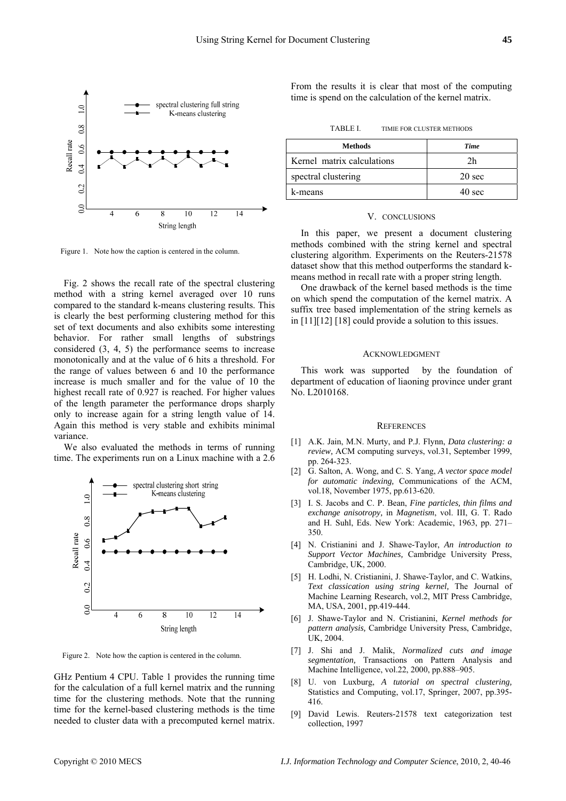

Figure 1. Note how the caption is centered in the column.

Fig. 2 shows the recall rate of the spectral clustering method with a string kernel averaged over 10 runs compared to the standard k-means clustering results. This is clearly the best performing clustering method for this set of text documents and also exhibits some interesting behavior. For rather small lengths of substrings considered (3, 4, 5) the performance seems to increase monotonically and at the value of 6 hits a threshold. For the range of values between 6 and 10 the performance increase is much smaller and for the value of 10 the highest recall rate of 0.927 is reached. For higher values of the length parameter the performance drops sharply only to increase again for a string length value of 14. Again this method is very stable and exhibits minimal variance.

We also evaluated the methods in terms of running time. The experiments run on a Linux machine with a 2.6



Figure 2. Note how the caption is centered in the column.

GHz Pentium 4 CPU. Table 1 provides the running time for the calculation of a full kernel matrix and the running time for the clustering methods. Note that the running time for the kernel-based clustering methods is the time needed to cluster data with a precomputed kernel matrix.

From the results it is clear that most of the computing time is spend on the calculation of the kernel matrix.

TABLE I. TIMIE FOR CLUSTER METHODS

| <b>Methods</b>             | <b>Time</b>      |
|----------------------------|------------------|
| Kernel matrix calculations | 2 <sub>h</sub>   |
| spectral clustering        | $20 \text{ sec}$ |
| k-means                    | $40 \text{ sec}$ |

## V. CONCLUSIONS

In this paper, we present a document clustering methods combined with the string kernel and spectral clustering algorithm. Experiments on the Reuters-21578 dataset show that this method outperforms the standard kmeans method in recall rate with a proper string length.

One drawback of the kernel based methods is the time on which spend the computation of the kernel matrix. A suffix tree based implementation of the string kernels as in [11][12] [18] could provide a solution to this issues.

## ACKNOWLEDGMENT

This work was supported by the foundation of department of education of liaoning province under grant No. L2010168.

#### **REFERENCES**

- [1] A.K. Jain, M.N. Murty, and P.J. Flynn, *Data clustering: a review,* ACM computing surveys, vol.31, September 1999, pp. 264-323.
- [2] G. Salton, A. Wong, and C. S. Yang, *A vector space model for automatic indexing,* Communications of the ACM, vol.18, November 1975, pp.613-620.
- [3] I. S. Jacobs and C. P. Bean, *Fine particles, thin films and exchange anisotropy,* in *Magnetism*, vol. III, G. T. Rado and H. Suhl, Eds. New York: Academic, 1963, pp. 271– 350.
- [4] N. Cristianini and J. Shawe-Taylor, *An introduction to Support Vector Machines,* Cambridge University Press, Cambridge, UK, 2000.
- [5] H. Lodhi, N. Cristianini, J. Shawe-Taylor, and C. Watkins, *Text classication using string kernel,* The Journal of Machine Learning Research, vol.2, MIT Press Cambridge, MA, USA, 2001, pp.419-444.
- [6] J. Shawe-Taylor and N. Cristianini, *Kernel methods for pattern analysis,* Cambridge University Press, Cambridge, UK, 2004.
- [7] J. Shi and J. Malik, *Normalized cuts and image segmentation,* Transactions on Pattern Analysis and Machine Intelligence, vol.22, 2000, pp.888–905.
- [8] U. von Luxburg, *A tutorial on spectral clustering,*  Statistics and Computing, vol.17, Springer, 2007, pp.395- 416.
- [9] David Lewis. Reuters-21578 text categorization test collection, 1997